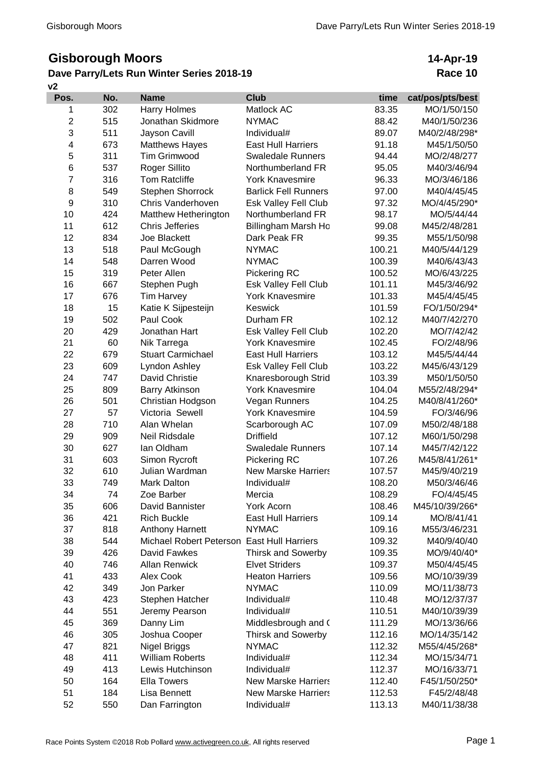## **Gisborough Moors**

## **v2 Dave Parry/Lets Run Winter Series 2018-19**

## **14-Apr-19 Race 10**

| Pos.                    | No. | <b>Name</b>              | <b>Club</b>                 | time   | cat/pos/pts/best |
|-------------------------|-----|--------------------------|-----------------------------|--------|------------------|
| 1                       | 302 | Harry Holmes             | Matlock AC                  | 83.35  | MO/1/50/150      |
| 2                       | 515 | Jonathan Skidmore        | <b>NYMAC</b>                | 88.42  | M40/1/50/236     |
| 3                       | 511 | Jayson Cavill            | Individual#                 | 89.07  | M40/2/48/298*    |
| $\overline{\mathbf{4}}$ | 673 | <b>Matthews Hayes</b>    | <b>East Hull Harriers</b>   | 91.18  | M45/1/50/50      |
| 5                       | 311 | <b>Tim Grimwood</b>      | <b>Swaledale Runners</b>    | 94.44  | MO/2/48/277      |
| 6                       | 537 | <b>Roger Sillito</b>     | Northumberland FR           | 95.05  | M40/3/46/94      |
| 7                       | 316 | <b>Tom Ratcliffe</b>     | <b>York Knavesmire</b>      | 96.33  | MO/3/46/186      |
| 8                       | 549 | Stephen Shorrock         | <b>Barlick Fell Runners</b> | 97.00  | M40/4/45/45      |
| 9                       | 310 | Chris Vanderhoven        | Esk Valley Fell Club        | 97.32  | MO/4/45/290*     |
| 10                      | 424 | Matthew Hetherington     | Northumberland FR           | 98.17  | MO/5/44/44       |
| 11                      | 612 | <b>Chris Jefferies</b>   | Billingham Marsh Ho         | 99.08  | M45/2/48/281     |
| 12                      | 834 | Joe Blackett             | Dark Peak FR                | 99.35  | M55/1/50/98      |
| 13                      | 518 | Paul McGough             | <b>NYMAC</b>                | 100.21 | M40/5/44/129     |
| 14                      | 548 | Darren Wood              | <b>NYMAC</b>                | 100.39 | M40/6/43/43      |
| 15                      | 319 | Peter Allen              | Pickering RC                | 100.52 | MO/6/43/225      |
| 16                      | 667 | Stephen Pugh             | Esk Valley Fell Club        | 101.11 | M45/3/46/92      |
| 17                      | 676 | <b>Tim Harvey</b>        | <b>York Knavesmire</b>      | 101.33 | M45/4/45/45      |
| 18                      | 15  | Katie K Sijpesteijn      | Keswick                     | 101.59 | FO/1/50/294*     |
| 19                      | 502 | Paul Cook                | Durham FR                   | 102.12 | M40/7/42/270     |
| 20                      | 429 | Jonathan Hart            | Esk Valley Fell Club        | 102.20 | MO/7/42/42       |
| 21                      | 60  | Nik Tarrega              | <b>York Knavesmire</b>      | 102.45 | FO/2/48/96       |
| 22                      | 679 | <b>Stuart Carmichael</b> | <b>East Hull Harriers</b>   | 103.12 | M45/5/44/44      |
| 23                      | 609 | Lyndon Ashley            | Esk Valley Fell Club        | 103.22 | M45/6/43/129     |
| 24                      | 747 | David Christie           | Knaresborough Strid         | 103.39 | M50/1/50/50      |
| 25                      | 809 | <b>Barry Atkinson</b>    | <b>York Knavesmire</b>      | 104.04 | M55/2/48/294*    |
| 26                      | 501 | Christian Hodgson        | Vegan Runners               | 104.25 | M40/8/41/260*    |
| 27                      | 57  | Victoria Sewell          | <b>York Knavesmire</b>      | 104.59 | FO/3/46/96       |
| 28                      | 710 | Alan Whelan              | Scarborough AC              | 107.09 | M50/2/48/188     |
| 29                      | 909 | Neil Ridsdale            | <b>Driffield</b>            | 107.12 | M60/1/50/298     |
| 30                      | 627 | lan Oldham               | <b>Swaledale Runners</b>    | 107.14 | M45/7/42/122     |
| 31                      | 603 | Simon Rycroft            | Pickering RC                | 107.26 | M45/8/41/261*    |
| 32                      | 610 | Julian Wardman           | <b>New Marske Harriers</b>  | 107.57 | M45/9/40/219     |
| 33                      | 749 | Mark Dalton              | Individual#                 | 108.20 | M50/3/46/46      |
| 34                      | 74  | Zoe Barber               | Mercia                      | 108.29 | FO/4/45/45       |
| 35                      | 606 | David Bannister          | York Acorn                  | 108.46 | M45/10/39/266*   |
| 36                      | 421 | <b>Rich Buckle</b>       | <b>East Hull Harriers</b>   | 109.14 | MO/8/41/41       |
| 37                      | 818 | <b>Anthony Harnett</b>   | <b>NYMAC</b>                | 109.16 | M55/3/46/231     |
| 38                      | 544 | Michael Robert Peterson  | <b>East Hull Harriers</b>   | 109.32 | M40/9/40/40      |
| 39                      | 426 | David Fawkes             | <b>Thirsk and Sowerby</b>   | 109.35 | MO/9/40/40*      |
| 40                      | 746 | <b>Allan Renwick</b>     | <b>Elvet Striders</b>       | 109.37 | M50/4/45/45      |
| 41                      | 433 | Alex Cook                | <b>Heaton Harriers</b>      | 109.56 | MO/10/39/39      |
| 42                      | 349 | Jon Parker               | <b>NYMAC</b>                | 110.09 | MO/11/38/73      |
| 43                      | 423 | Stephen Hatcher          | Individual#                 | 110.48 | MO/12/37/37      |
| 44                      | 551 | Jeremy Pearson           | Individual#                 | 110.51 | M40/10/39/39     |
| 45                      | 369 | Danny Lim                | Middlesbrough and (         | 111.29 | MO/13/36/66      |
| 46                      | 305 | Joshua Cooper            | <b>Thirsk and Sowerby</b>   | 112.16 | MO/14/35/142     |
| 47                      | 821 | Nigel Briggs             | <b>NYMAC</b>                | 112.32 | M55/4/45/268*    |
| 48                      | 411 | <b>William Roberts</b>   | Individual#                 | 112.34 | MO/15/34/71      |
| 49                      | 413 | Lewis Hutchinson         | Individual#                 | 112.37 | MO/16/33/71      |
| 50                      | 164 | <b>Ella Towers</b>       | <b>New Marske Harriers</b>  | 112.40 | F45/1/50/250*    |
| 51                      | 184 | Lisa Bennett             | <b>New Marske Harriers</b>  | 112.53 | F45/2/48/48      |
| 52                      | 550 | Dan Farrington           | Individual#                 | 113.13 | M40/11/38/38     |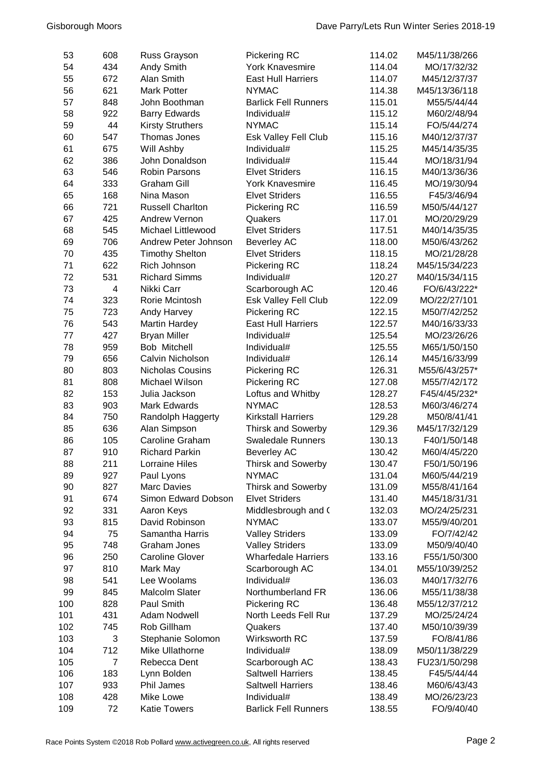| 53  | 608            | Russ Grayson            | <b>Pickering RC</b>         | 114.02 | M45/11/38/266 |
|-----|----------------|-------------------------|-----------------------------|--------|---------------|
| 54  | 434            | Andy Smith              | <b>York Knavesmire</b>      | 114.04 | MO/17/32/32   |
| 55  | 672            | Alan Smith              | <b>East Hull Harriers</b>   | 114.07 | M45/12/37/37  |
| 56  | 621            | <b>Mark Potter</b>      | <b>NYMAC</b>                | 114.38 | M45/13/36/118 |
| 57  | 848            | John Boothman           | <b>Barlick Fell Runners</b> | 115.01 | M55/5/44/44   |
| 58  | 922            | <b>Barry Edwards</b>    | Individual#                 | 115.12 | M60/2/48/94   |
| 59  | 44             | <b>Kirsty Struthers</b> | <b>NYMAC</b>                | 115.14 | FO/5/44/274   |
| 60  | 547            | Thomas Jones            | Esk Valley Fell Club        | 115.16 | M40/12/37/37  |
| 61  | 675            | Will Ashby              | Individual#                 | 115.25 | M45/14/35/35  |
| 62  | 386            | John Donaldson          | Individual#                 | 115.44 | MO/18/31/94   |
| 63  | 546            | <b>Robin Parsons</b>    | <b>Elvet Striders</b>       | 116.15 | M40/13/36/36  |
| 64  | 333            | <b>Graham Gill</b>      | <b>York Knavesmire</b>      | 116.45 | MO/19/30/94   |
| 65  | 168            | Nina Mason              | <b>Elvet Striders</b>       | 116.55 | F45/3/46/94   |
| 66  | 721            | <b>Russell Charlton</b> | Pickering RC                | 116.59 | M50/5/44/127  |
| 67  | 425            | Andrew Vernon           | Quakers                     | 117.01 | MO/20/29/29   |
| 68  | 545            | Michael Littlewood      | <b>Elvet Striders</b>       | 117.51 | M40/14/35/35  |
| 69  | 706            | Andrew Peter Johnson    | <b>Beverley AC</b>          | 118.00 | M50/6/43/262  |
| 70  | 435            | <b>Timothy Shelton</b>  | <b>Elvet Striders</b>       | 118.15 | MO/21/28/28   |
| 71  | 622            | Rich Johnson            | Pickering RC                | 118.24 | M45/15/34/223 |
| 72  | 531            | <b>Richard Simms</b>    | Individual#                 | 120.27 | M40/15/34/115 |
| 73  | 4              | Nikki Carr              | Scarborough AC              | 120.46 | FO/6/43/222*  |
| 74  | 323            | Rorie Mcintosh          | Esk Valley Fell Club        | 122.09 | MO/22/27/101  |
| 75  | 723            | Andy Harvey             | Pickering RC                | 122.15 | M50/7/42/252  |
| 76  | 543            | <b>Martin Hardey</b>    | <b>East Hull Harriers</b>   | 122.57 | M40/16/33/33  |
| 77  | 427            | <b>Bryan Miller</b>     | Individual#                 | 125.54 | MO/23/26/26   |
| 78  | 959            | Bob Mitchell            | Individual#                 | 125.55 | M65/1/50/150  |
| 79  | 656            | Calvin Nicholson        | Individual#                 | 126.14 | M45/16/33/99  |
| 80  | 803            | <b>Nicholas Cousins</b> | Pickering RC                | 126.31 | M55/6/43/257* |
| 81  | 808            | Michael Wilson          | Pickering RC                | 127.08 | M55/7/42/172  |
| 82  | 153            | Julia Jackson           | Loftus and Whitby           | 128.27 | F45/4/45/232* |
| 83  | 903            | Mark Edwards            | <b>NYMAC</b>                | 128.53 | M60/3/46/274  |
| 84  | 750            | Randolph Haggerty       | <b>Kirkstall Harriers</b>   | 129.28 | M50/8/41/41   |
| 85  | 636            | Alan Simpson            | <b>Thirsk and Sowerby</b>   | 129.36 | M45/17/32/129 |
| 86  | 105            | Caroline Graham         | <b>Swaledale Runners</b>    | 130.13 | F40/1/50/148  |
| 87  | 910            | <b>Richard Parkin</b>   | <b>Beverley AC</b>          | 130.42 | M60/4/45/220  |
| 88  | 211            | <b>Lorraine Hiles</b>   | <b>Thirsk and Sowerby</b>   | 130.47 | F50/1/50/196  |
| 89  | 927            | Paul Lyons              | <b>NYMAC</b>                | 131.04 | M60/5/44/219  |
| 90  | 827            | <b>Marc Davies</b>      | <b>Thirsk and Sowerby</b>   | 131.09 | M55/8/41/164  |
| 91  | 674            | Simon Edward Dobson     | <b>Elvet Striders</b>       | 131.40 | M45/18/31/31  |
| 92  | 331            | Aaron Keys              | Middlesbrough and (         | 132.03 | MO/24/25/231  |
| 93  | 815            | David Robinson          | <b>NYMAC</b>                | 133.07 | M55/9/40/201  |
| 94  | 75             | Samantha Harris         | <b>Valley Striders</b>      | 133.09 | FO/7/42/42    |
| 95  | 748            | <b>Graham Jones</b>     | <b>Valley Striders</b>      | 133.09 | M50/9/40/40   |
| 96  | 250            | <b>Caroline Glover</b>  | <b>Wharfedale Harriers</b>  | 133.16 | F55/1/50/300  |
| 97  | 810            | Mark May                | Scarborough AC              | 134.01 | M55/10/39/252 |
| 98  | 541            | Lee Woolams             | Individual#                 | 136.03 | M40/17/32/76  |
| 99  | 845            | <b>Malcolm Slater</b>   | Northumberland FR           | 136.06 | M55/11/38/38  |
| 100 | 828            | Paul Smith              | Pickering RC                | 136.48 | M55/12/37/212 |
| 101 | 431            | Adam Nodwell            | North Leeds Fell Rur        | 137.29 | MO/25/24/24   |
| 102 | 745            | Rob Gillham             | Quakers                     | 137.40 | M50/10/39/39  |
| 103 | 3              | Stephanie Solomon       | Wirksworth RC               | 137.59 | FO/8/41/86    |
| 104 | 712            | Mike Ullathorne         | Individual#                 | 138.09 | M50/11/38/229 |
| 105 | $\overline{7}$ | Rebecca Dent            | Scarborough AC              | 138.43 | FU23/1/50/298 |
| 106 | 183            | Lynn Bolden             | <b>Saltwell Harriers</b>    | 138.45 | F45/5/44/44   |
| 107 | 933            | Phil James              | <b>Saltwell Harriers</b>    | 138.46 | M60/6/43/43   |
| 108 | 428            | Mike Lowe               | Individual#                 | 138.49 | MO/26/23/23   |
| 109 | 72             | <b>Katie Towers</b>     | <b>Barlick Fell Runners</b> | 138.55 | FO/9/40/40    |
|     |                |                         |                             |        |               |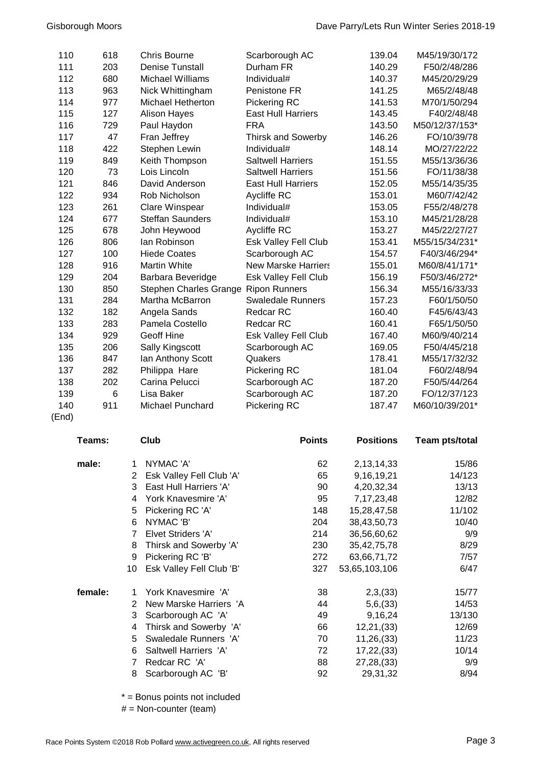| 110  | 618 | <b>Chris Bourne</b>                  | Scarborough AC             | 139.04 | M45/19/30/172  |
|------|-----|--------------------------------------|----------------------------|--------|----------------|
| 111  | 203 | <b>Denise Tunstall</b>               | Durham FR                  | 140.29 | F50/2/48/286   |
| 112  | 680 | <b>Michael Williams</b>              | Individual#                | 140.37 | M45/20/29/29   |
| 113  | 963 | Nick Whittingham                     | Penistone FR               | 141.25 | M65/2/48/48    |
| 114  | 977 | <b>Michael Hetherton</b>             | Pickering RC               | 141.53 | M70/1/50/294   |
| 115  | 127 | <b>Alison Hayes</b>                  | <b>East Hull Harriers</b>  | 143.45 | F40/2/48/48    |
| 116  | 729 | Paul Haydon                          | <b>FRA</b>                 | 143.50 | M50/12/37/153* |
| 117  | 47  | Fran Jeffrey                         | <b>Thirsk and Sowerby</b>  | 146.26 | FO/10/39/78    |
| 118  | 422 | Stephen Lewin                        | Individual#                | 148.14 | MO/27/22/22    |
| 119  | 849 | Keith Thompson                       | <b>Saltwell Harriers</b>   | 151.55 | M55/13/36/36   |
| 120  | 73  | Lois Lincoln                         | <b>Saltwell Harriers</b>   | 151.56 | FO/11/38/38    |
| 121  | 846 | David Anderson                       | <b>East Hull Harriers</b>  | 152.05 | M55/14/35/35   |
| 122  | 934 | Rob Nicholson                        | Aycliffe RC                | 153.01 | M60/7/42/42    |
| 123  | 261 | Clare Winspear                       | Individual#                | 153.05 | F55/2/48/278   |
| 124  | 677 | <b>Steffan Saunders</b>              | Individual#                | 153.10 | M45/21/28/28   |
| 125  | 678 | John Heywood                         | Aycliffe RC                | 153.27 | M45/22/27/27   |
| 126  | 806 | lan Robinson                         | Esk Valley Fell Club       | 153.41 | M55/15/34/231* |
| 127  | 100 | <b>Hiede Coates</b>                  | Scarborough AC             | 154.57 | F40/3/46/294*  |
| 128  | 916 | <b>Martin White</b>                  | <b>New Marske Harriers</b> | 155.01 | M60/8/41/171*  |
| 129  | 204 | Barbara Beveridge                    | Esk Valley Fell Club       | 156.19 | F50/3/46/272*  |
| 130  | 850 | Stephen Charles Grange Ripon Runners |                            | 156.34 | M55/16/33/33   |
| 131  | 284 | Martha McBarron                      | <b>Swaledale Runners</b>   | 157.23 | F60/1/50/50    |
| 132  | 182 | Angela Sands                         | <b>Redcar RC</b>           | 160.40 | F45/6/43/43    |
| 133  | 283 | Pamela Costello                      | <b>Redcar RC</b>           | 160.41 | F65/1/50/50    |
| 134  | 929 | <b>Geoff Hine</b>                    | Esk Valley Fell Club       | 167.40 | M60/9/40/214   |
| 135  | 206 | Sally Kingscott                      | Scarborough AC             | 169.05 | F50/4/45/218   |
| 136  | 847 | Ian Anthony Scott                    | Quakers                    | 178.41 | M55/17/32/32   |
| 137  | 282 | Philippa Hare                        | Pickering RC               | 181.04 | F60/2/48/94    |
| 138  | 202 | Carina Pelucci                       | Scarborough AC             | 187.20 | F50/5/44/264   |
| 139  | 6   | Lisa Baker                           | Scarborough AC             | 187.20 | FO/12/37/123   |
| 140  | 911 | <b>Michael Punchard</b>              | Pickering RC               | 187.47 | M60/10/39/201* |
| ᄃᇰᅬᄾ |     |                                      |                            |        |                |

| Teams:  |    | Club                     | <b>Points</b> | <b>Positions</b> | Team pts/total |
|---------|----|--------------------------|---------------|------------------|----------------|
| male:   | 1  | NYMAC 'A'                | 62            | 2, 13, 14, 33    | 15/86          |
|         | 2  | Esk Valley Fell Club 'A' | 65            | 9,16,19,21       | 14/123         |
|         | 3  | East Hull Harriers 'A'   | 90            | 4,20,32,34       | 13/13          |
|         | 4  | York Knavesmire 'A'      | 95            | 7, 17, 23, 48    | 12/82          |
|         | 5  | Pickering RC 'A'         | 148           | 15,28,47,58      | 11/102         |
|         | 6  | NYMAC 'B'                | 204           | 38,43,50,73      | 10/40          |
|         | 7  | Elvet Striders 'A'       | 214           | 36,56,60,62      | 9/9            |
|         | 8  | Thirsk and Sowerby 'A'   | 230           | 35, 42, 75, 78   | 8/29           |
|         | 9  | Pickering RC 'B'         | 272           | 63,66,71,72      | 7/57           |
|         | 10 | Esk Valley Fell Club 'B' | 327           | 53,65,103,106    | 6/47           |
| female: | 1. | York Knavesmire 'A'      | 38            | 2,3,(33)         | 15/77          |
|         | 2  | New Marske Harriers 'A   | 44            | 5,6,(33)         | 14/53          |
|         | 3  | Scarborough AC 'A'       | 49            | 9,16,24          | 13/130         |
|         | 4  | Thirsk and Sowerby 'A'   | 66            | 12,21,(33)       | 12/69          |
|         | 5  | Swaledale Runners 'A'    | 70            | 11,26,(33)       | 11/23          |
|         | 6  | Saltwell Harriers 'A'    | 72            | 17,22,(33)       | 10/14          |
|         | 7  | Redcar RC 'A'            | 88            | 27,28,(33)       | 9/9            |
|         | 8  | Scarborough AC 'B'       | 92            | 29,31,32         | 8/94           |

\* = Bonus points not included

# = Non-counter (team)